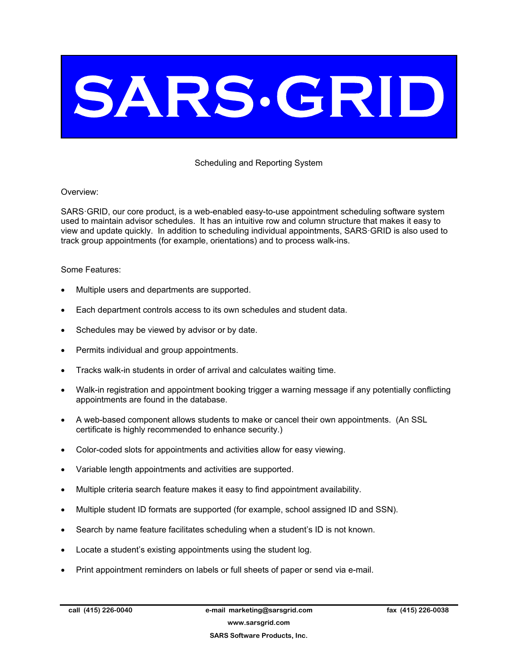# SARS.GRID

# Scheduling and Reporting System

## Overview:

SARS·GRID, our core product, is a web-enabled easy-to-use appointment scheduling software system used to maintain advisor schedules. It has an intuitive row and column structure that makes it easy to view and update quickly. In addition to scheduling individual appointments, SARS·GRID is also used to track group appointments (for example, orientations) and to process walk-ins.

### Some Features:

- Multiple users and departments are supported.
- Each department controls access to its own schedules and student data.
- Schedules may be viewed by advisor or by date.
- Permits individual and group appointments.
- Tracks walk-in students in order of arrival and calculates waiting time.
- Walk-in registration and appointment booking trigger a warning message if any potentially conflicting appointments are found in the database.
- A web-based component allows students to make or cancel their own appointments. (An SSL certificate is highly recommended to enhance security.)
- Color-coded slots for appointments and activities allow for easy viewing.
- Variable length appointments and activities are supported.
- Multiple criteria search feature makes it easy to find appointment availability.
- Multiple student ID formats are supported (for example, school assigned ID and SSN).
- Search by name feature facilitates scheduling when a student's ID is not known.
- Locate a student's existing appointments using the student log.
- Print appointment reminders on labels or full sheets of paper or send via e-mail.